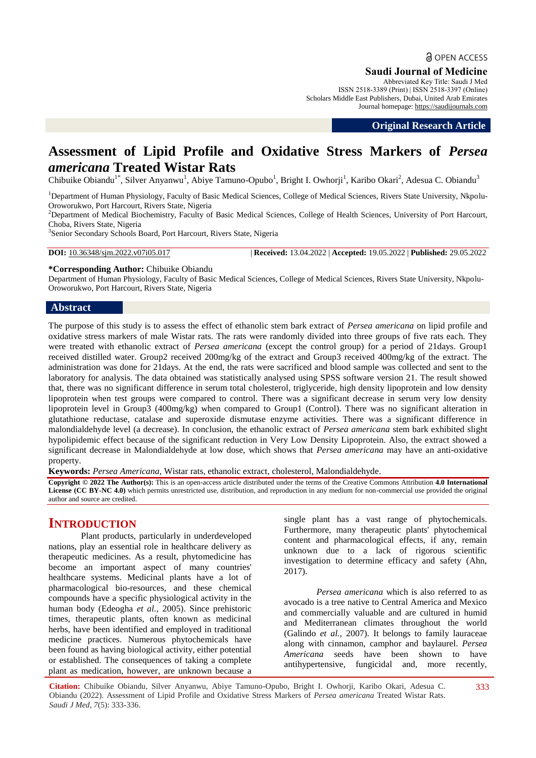# **a** OPEN ACCESS

### **Saudi Journal of Medicine**

Abbreviated Key Title: Saudi J Med ISSN 2518-3389 (Print) | ISSN 2518-3397 (Online) Scholars Middle East Publishers, Dubai, United Arab Emirates Journal homepage: https://saudijournals.com

**Original Research Article**

## **Assessment of Lipid Profile and Oxidative Stress Markers of** *Persea americana* **Treated Wistar Rats**

Chibuike Obiandu<sup>1\*</sup>, Silver Anyanwu<sup>1</sup>, Abiye Tamuno-Opubo<sup>1</sup>, Bright I. Owhorji<sup>1</sup>, Karibo Okari<sup>2</sup>, Adesua C. Obiandu<sup>3</sup>

<sup>1</sup>Department of Human Physiology, Faculty of Basic Medical Sciences, College of Medical Sciences, Rivers State University, Nkpolu-Oroworukwo, Port Harcourt, Rivers State, Nigeria

<sup>2</sup>Department of Medical Biochemistry, Faculty of Basic Medical Sciences, College of Health Sciences, University of Port Harcourt, Choba, Rivers State, Nigeria

3 Senior Secondary Schools Board, Port Harcourt, Rivers State, Nigeria

**DOI:** 10.36348/sjm.2022.v07i05.017 | **Received:** 13.04.2022 | **Accepted:** 19.05.2022 | **Published:** 29.05.2022

**\*Corresponding Author:** Chibuike Obiandu

Department of Human Physiology, Faculty of Basic Medical Sciences, College of Medical Sciences, Rivers State University, Nkpolu-Oroworukwo, Port Harcourt, Rivers State, Nigeria

#### **Abstract**

The purpose of this study is to assess the effect of ethanolic stem bark extract of *Persea americana* on lipid profile and oxidative stress markers of male Wistar rats. The rats were randomly divided into three groups of five rats each. They were treated with ethanolic extract of *Persea americana* (except the control group) for a period of 21days. Group1 received distilled water. Group2 received 200mg/kg of the extract and Group3 received 400mg/kg of the extract. The administration was done for 21days. At the end, the rats were sacrificed and blood sample was collected and sent to the laboratory for analysis. The data obtained was statistically analysed using SPSS software version 21. The result showed that, there was no significant difference in serum total cholesterol, triglyceride, high density lipoprotein and low density lipoprotein when test groups were compared to control. There was a significant decrease in serum very low density lipoprotein level in Group3 (400mg/kg) when compared to Group1 (Control). There was no significant alteration in glutathione reductase, catalase and superoxide dismutase enzyme activities. There was a significant difference in malondialdehyde level (a decrease). In conclusion, the ethanolic extract of *Persea americana* stem bark exhibited slight hypolipidemic effect because of the significant reduction in Very Low Density Lipoprotein. Also, the extract showed a significant decrease in Malondialdehyde at low dose, which shows that *Persea americana* may have an anti-oxidative property.

**Keywords:** *Persea Americana,* Wistar rats, ethanolic extract, cholesterol, Malondialdehyde.

**Copyright © 2022 The Author(s):** This is an open-access article distributed under the terms of the Creative Commons Attribution **4.0 International License (CC BY-NC 4.0)** which permits unrestricted use, distribution, and reproduction in any medium for non-commercial use provided the original author and source are credited.

## **INTRODUCTION**

Plant products, particularly in underdeveloped nations, play an essential role in healthcare delivery as therapeutic medicines. As a result, phytomedicine has become an important aspect of many countries' healthcare systems. Medicinal plants have a lot of pharmacological bio-resources, and these chemical compounds have a specific physiological activity in the human body (Edeogha *et al.,* 2005). Since prehistoric times, therapeutic plants, often known as medicinal herbs, have been identified and employed in traditional medicine practices. Numerous phytochemicals have been found as having biological activity, either potential or established. The consequences of taking a complete plant as medication, however, are unknown because a single plant has a vast range of phytochemicals. Furthermore, many therapeutic plants' phytochemical content and pharmacological effects, if any, remain unknown due to a lack of rigorous scientific investigation to determine efficacy and safety (Ahn, 2017).

*Persea americana* which is also referred to as avocado is a tree native to Central America and Mexico and commercially valuable and are cultured in humid and Mediterranean climates throughout the world (Galindo *et al.,* 2007). It belongs to family lauraceae along with cinnamon, camphor and baylaurel. *Persea Americana* seeds have been shown to have antihypertensive, fungicidal and, more recently,

**Citation:** Chibuike Obiandu, Silver Anyanwu, Abiye Tamuno-Opubo, Bright I. Owhorji, Karibo Okari, Adesua C. Obiandu (2022). Assessment of Lipid Profile and Oxidative Stress Markers of *Persea americana* Treated Wistar Rats. *Saudi J Med, 7*(5): 333-336.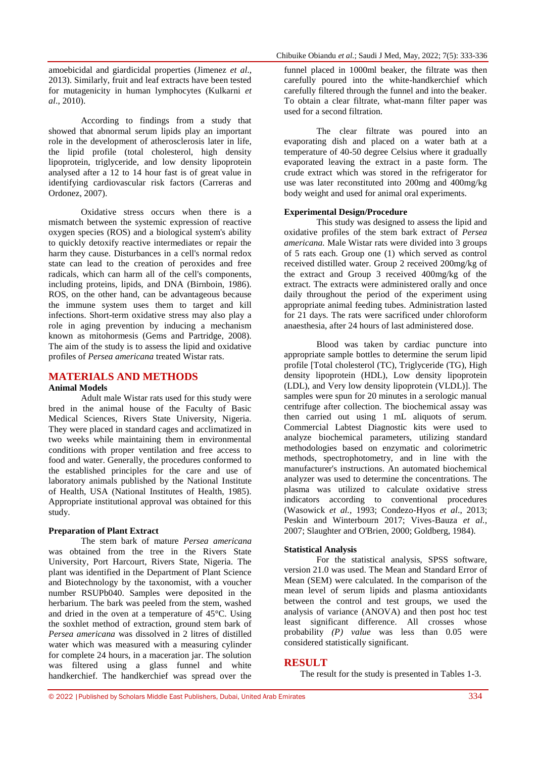According to findings from a study that showed that abnormal serum lipids play an important role in the development of atherosclerosis later in life, the lipid profile (total cholesterol, high density lipoprotein, triglyceride, and low density lipoprotein analysed after a 12 to 14 hour fast is of great value in identifying cardiovascular risk factors (Carreras and Ordonez, 2007).

Oxidative stress occurs when there is a mismatch between the systemic expression of reactive oxygen species (ROS) and a biological system's ability to quickly detoxify reactive intermediates or repair the harm they cause. Disturbances in a cell's normal redox state can lead to the creation of peroxides and free radicals, which can harm all of the cell's components, including proteins, lipids, and DNA (Birnboin, 1986). ROS, on the other hand, can be advantageous because the immune system uses them to target and kill infections. Short-term oxidative stress may also play a role in aging prevention by inducing a mechanism known as mitohormesis (Gems and Partridge, 2008). The aim of the study is to assess the lipid and oxidative profiles of *Persea americana* treated Wistar rats.

#### **MATERIALS AND METHODS**

#### **Animal Models**

Adult male Wistar rats used for this study were bred in the animal house of the Faculty of Basic Medical Sciences, Rivers State University, Nigeria. They were placed in standard cages and acclimatized in two weeks while maintaining them in environmental conditions with proper ventilation and free access to food and water. Generally, the procedures conformed to the established principles for the care and use of laboratory animals published by the National Institute of Health, USA (National Institutes of Health, 1985). Appropriate institutional approval was obtained for this study.

#### **Preparation of Plant Extract**

The stem bark of mature *Persea americana* was obtained from the tree in the Rivers State University, Port Harcourt, Rivers State, Nigeria. The plant was identified in the Department of Plant Science and Biotechnology by the taxonomist, with a voucher number RSUPb040. Samples were deposited in the herbarium. The bark was peeled from the stem, washed and dried in the oven at a temperature of 45°C. Using the soxhlet method of extraction, ground stem bark of *Persea americana* was dissolved in 2 litres of distilled water which was measured with a measuring cylinder for complete 24 hours, in a maceration jar. The solution was filtered using a glass funnel and white handkerchief. The handkerchief was spread over the funnel placed in 1000ml beaker, the filtrate was then carefully poured into the white-handkerchief which carefully filtered through the funnel and into the beaker. To obtain a clear filtrate, what-mann filter paper was used for a second filtration.

The clear filtrate was poured into an evaporating dish and placed on a water bath at a temperature of 40-50 degree Celsius where it gradually evaporated leaving the extract in a paste form. The crude extract which was stored in the refrigerator for use was later reconstituted into 200mg and 400mg/kg body weight and used for animal oral experiments.

#### **Experimental Design/Procedure**

This study was designed to assess the lipid and oxidative profiles of the stem bark extract of *Persea americana.* Male Wistar rats were divided into 3 groups of 5 rats each. Group one (1) which served as control received distilled water. Group 2 received 200mg/kg of the extract and Group 3 received 400mg/kg of the extract. The extracts were administered orally and once daily throughout the period of the experiment using appropriate animal feeding tubes. Administration lasted for 21 days. The rats were sacrificed under chloroform anaesthesia, after 24 hours of last administered dose.

Blood was taken by cardiac puncture into appropriate sample bottles to determine the serum lipid profile [Total cholesterol (TC), Triglyceride (TG), High density lipoprotein (HDL), Low density lipoprotein (LDL), and Very low density lipoprotein (VLDL)]. The samples were spun for 20 minutes in a serologic manual centrifuge after collection. The biochemical assay was then carried out using 1 mL aliquots of serum. Commercial Labtest Diagnostic kits were used to analyze biochemical parameters, utilizing standard methodologies based on enzymatic and colorimetric methods, spectrophotometry, and in line with the manufacturer's instructions. An automated biochemical analyzer was used to determine the concentrations. The plasma was utilized to calculate oxidative stress indicators according to conventional procedures (Wasowick *et al.*, 1993; Condezo-Hyos *et al*., 2013; Peskin and Winterbourn 2017; Vives-Bauza *et al.,* 2007; Slaughter and O'Brien, 2000; Goldberg, 1984).

#### **Statistical Analysis**

For the statistical analysis, SPSS software, version 21.0 was used. The Mean and Standard Error of Mean (SEM) were calculated. In the comparison of the mean level of serum lipids and plasma antioxidants between the control and test groups, we used the analysis of variance (ANOVA) and then post hoc test least significant difference. All crosses whose probability *(P) value* was less than 0.05 were considered statistically significant.

#### **RESULT**

The result for the study is presented in Tables 1-3.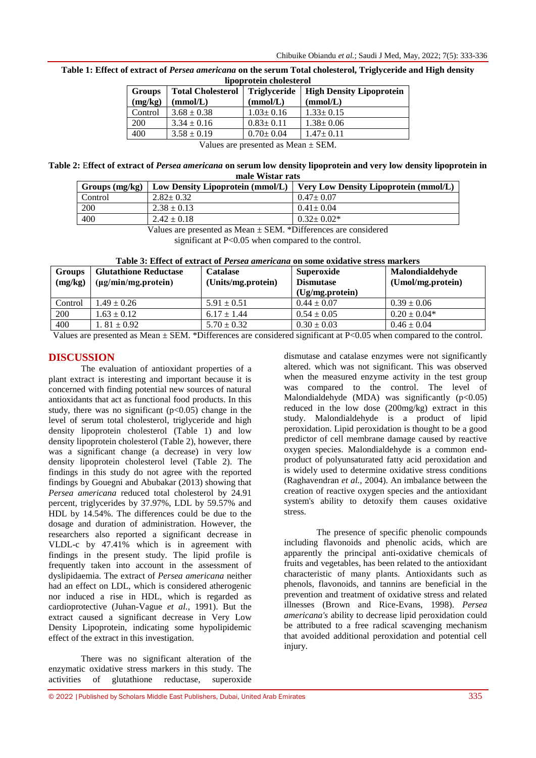| <b>Groups</b><br>(mg/kg)                                                                                                                                                                                                                                                                         | <b>Total Cholesterol</b><br>(mmol/L) | <b>Triglyceride</b><br>(mmol/L) | <b>High Density Lipoprotein</b><br>(mmol/L) |  |  |
|--------------------------------------------------------------------------------------------------------------------------------------------------------------------------------------------------------------------------------------------------------------------------------------------------|--------------------------------------|---------------------------------|---------------------------------------------|--|--|
| Control                                                                                                                                                                                                                                                                                          | $3.68 \pm 0.38$                      | $1.03 \pm 0.16$                 | $1.33 \pm 0.15$                             |  |  |
| <b>200</b>                                                                                                                                                                                                                                                                                       | $3.34 \pm 0.16$                      | $0.83 \pm 0.11$                 | $1.38 \pm 0.06$                             |  |  |
| 400                                                                                                                                                                                                                                                                                              | $3.58 \pm 0.19$                      | $0.70 \pm 0.04$                 | $1.47 \pm 0.11$                             |  |  |
| $\mathbf{v}$ and $\mathbf{v}$ and $\mathbf{v}$ and $\mathbf{v}$ and $\mathbf{v}$ and $\mathbf{v}$ and $\mathbf{v}$ and $\mathbf{v}$ and $\mathbf{v}$ and $\mathbf{v}$ and $\mathbf{v}$ and $\mathbf{v}$ and $\mathbf{v}$ and $\mathbf{v}$ and $\mathbf{v}$ and $\mathbf{v}$ and $\mathbf{v}$ and |                                      |                                 |                                             |  |  |

**Table 1: Effect of extract of** *Persea americana* **on the serum Total cholesterol, Triglyceride and High density lipoprotein cholesterol**

Values are presented as Mean ± SEM.

**Table 2:** E**ffect of extract of** *Persea americana* **on serum low density lipoprotein and very low density lipoprotein in male Wistar rats**

| Groups $(mg/kg)$ | Low Density Lipoprotein (mmol/L)                             | Very Low Density Lipoprotein (mmol/L) |
|------------------|--------------------------------------------------------------|---------------------------------------|
| Control          | $2.82 \pm 0.32$                                              | $0.47 \pm 0.07$                       |
| 200              | $2.38 \pm 0.13$                                              | $0.41 \pm 0.04$                       |
| 400              | $2.42 \pm 0.18$                                              | $0.32 \pm 0.02*$                      |
|                  | .<br>$\sim$ $\sim$ $\sim$ $\sim$ $\sim$ $\sim$ $\sim$ $\sim$ |                                       |

Values are presented as Mean ± SEM. \*Differences are considered

significant at P<0.05 when compared to the control.

| <b>Groups</b><br>(mg/kg) | <b>Glutathione Reductase</b><br>$(\mu g/min/mg.protein)$ | <b>Catalase</b><br>(Units/mg.protein) | Superoxide<br><b>Dismutase</b><br>$Ug/mg.$ protein) | Malondialdehyde<br>(Umol/mg.protein) |
|--------------------------|----------------------------------------------------------|---------------------------------------|-----------------------------------------------------|--------------------------------------|
| Control                  | $1.49 \pm 0.26$                                          | $5.91 \pm 0.51$                       | $0.44 \pm 0.07$                                     | $0.39 \pm 0.06$                      |
| 200                      | $1.63 \pm 0.12$                                          | $6.17 \pm 1.44$                       | $0.54 \pm 0.05$                                     | $0.20 \pm 0.04*$                     |
| 400                      | $1.81 \pm 0.92$                                          | $5.70 \pm 0.32$                       | $0.30 \pm 0.03$                                     | $0.46 \pm 0.04$                      |

**Table 3: Effect of extract of** *Persea americana* **on some oxidative stress markers**

Values are presented as Mean  $\pm$  SEM. \*Differences are considered significant at P<0.05 when compared to the control.

## **DISCUSSION**

The evaluation of antioxidant properties of a plant extract is interesting and important because it is concerned with finding potential new sources of natural antioxidants that act as functional food products. In this study, there was no significant  $(p<0.05)$  change in the level of serum total cholesterol, triglyceride and high density lipoprotein cholesterol (Table 1) and low density lipoprotein cholesterol (Table 2), however, there was a significant change (a decrease) in very low density lipoprotein cholesterol level (Table 2). The findings in this study do not agree with the reported findings by Gouegni and Abubakar (2013) showing that *Persea americana* reduced total cholesterol by 24.91 percent, triglycerides by 37.97%, LDL by 59.57% and HDL by 14.54%. The differences could be due to the dosage and duration of administration. However, the researchers also reported a significant decrease in VLDL-c by 47.41% which is in agreement with findings in the present study. The lipid profile is frequently taken into account in the assessment of dyslipidaemia. The extract of *Persea americana* neither had an effect on LDL, which is considered atherogenic nor induced a rise in HDL, which is regarded as cardioprotective (Juhan-Vague *et al.*, 1991). But the extract caused a significant decrease in Very Low Density Lipoprotein, indicating some hypolipidemic effect of the extract in this investigation.

There was no significant alteration of the enzymatic oxidative stress markers in this study. The activities of glutathione reductase, superoxide

dismutase and catalase enzymes were not significantly altered. which was not significant. This was observed when the measured enzyme activity in the test group was compared to the control. The level of Malondialdehyde (MDA) was significantly  $(p<0.05)$ reduced in the low dose (200mg/kg) extract in this study. Malondialdehyde is a product of lipid peroxidation. Lipid peroxidation is thought to be a good predictor of cell membrane damage caused by reactive oxygen species. Malondialdehyde is a common endproduct of polyunsaturated fatty acid peroxidation and is widely used to determine oxidative stress conditions (Raghavendran *et al.,* 2004). An imbalance between the creation of reactive oxygen species and the antioxidant system's ability to detoxify them causes oxidative stress.

The presence of specific phenolic compounds including flavonoids and phenolic acids, which are apparently the principal anti-oxidative chemicals of fruits and vegetables, has been related to the antioxidant characteristic of many plants. Antioxidants such as phenols, flavonoids, and tannins are beneficial in the prevention and treatment of oxidative stress and related illnesses (Brown and Rice-Evans, 1998). *Persea americana's* ability to decrease lipid peroxidation could be attributed to a free radical scavenging mechanism that avoided additional peroxidation and potential cell injury.